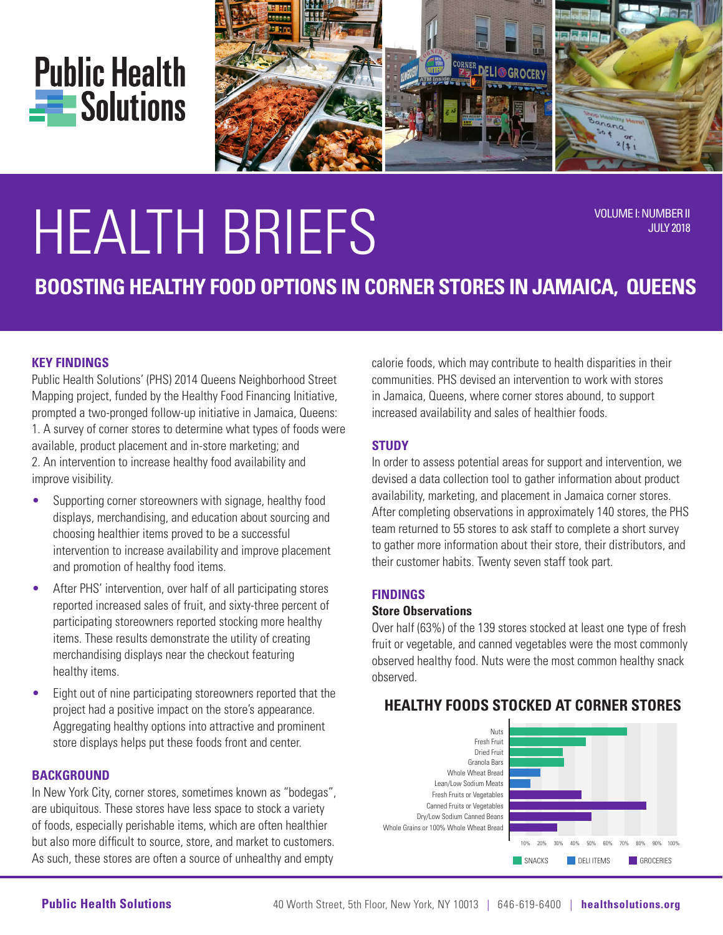



# HEALTH BRIEFS VOLUME I: NUMBER II

JULY 2018

# **BOOSTING HEALTHY FOOD OPTIONS IN CORNER STORES IN JAMAICA, QUEENS**

#### **KEY FINDINGS**

Public Health Solutions' (PHS) 2014 Queens Neighborhood Street Mapping project, funded by the Healthy Food Financing Initiative, prompted a two-pronged follow-up initiative in Jamaica, Queens: 1. A survey of corner stores to determine what types of foods were available, product placement and in-store marketing; and 2. An intervention to increase healthy food availability and improve visibility.

- Supporting corner storeowners with signage, healthy food displays, merchandising, and education about sourcing and choosing healthier items proved to be a successful intervention to increase availability and improve placement and promotion of healthy food items.
- After PHS' intervention, over half of all participating stores reported increased sales of fruit, and sixty-three percent of participating storeowners reported stocking more healthy items. These results demonstrate the utility of creating merchandising displays near the checkout featuring healthy items.
- Eight out of nine participating storeowners reported that the project had a positive impact on the store's appearance. Aggregating healthy options into attractive and prominent store displays helps put these foods front and center.

#### **BACKGROUND**

In New York City, corner stores, sometimes known as "bodegas", are ubiquitous. These stores have less space to stock a variety of foods, especially perishable items, which are often healthier but also more difficult to source, store, and market to customers. As such, these stores are often a source of unhealthy and empty

calorie foods, which may contribute to health disparities in their communities. PHS devised an intervention to work with stores in Jamaica, Queens, where corner stores abound, to support increased availability and sales of healthier foods.

#### **STUDY**

In order to assess potential areas for support and intervention, we devised a data collection tool to gather information about product availability, marketing, and placement in Jamaica corner stores. After completing observations in approximately 140 stores, the PHS team returned to 55 stores to ask staff to complete a short survey to gather more information about their store, their distributors, and their customer habits. Twenty seven staff took part.

#### **FINDINGS**

#### **Store Observations**

Over half (63%) of the 139 stores stocked at least one type of fresh fruit or vegetable, and canned vegetables were the most commonly observed healthy food. Nuts were the most common healthy snack observed.

#### Nuts <mark>SNACKS in the state of the state of the state of the state of the state of the state of</mark> Whole Wheat Bread Fresh Fruits or Vegetables Canned Fruits or Vegetables Dry/Low Sodium Canned Beans Whole Grains or 100% Whole Wheat Bread 10% 20% 30% 40% 50% 60% 70% 80% 90% 100% Lean/Low Sodium Meats **CONTROLLER SNACKS** DELI ITEMS **CROCERIES** Fresh Fruit Dried Fruit Granola Bars

# **HEALTHY FOODS STOCKED AT CORNER STORES**